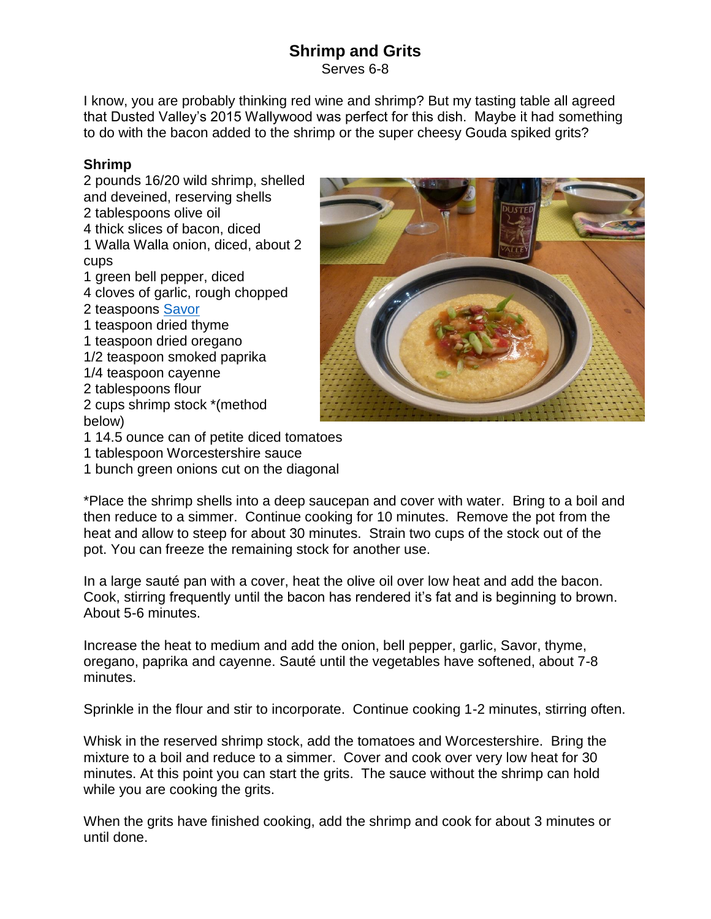## **Shrimp and Grits**

Serves 6-8

I know, you are probably thinking red wine and shrimp? But my tasting table all agreed that Dusted Valley's 2015 Wallywood was perfect for this dish. Maybe it had something to do with the bacon added to the shrimp or the super cheesy Gouda spiked grits?

## **Shrimp**

2 pounds 16/20 wild shrimp, shelled and deveined, reserving shells 2 tablespoons olive oil 4 thick slices of bacon, diced

1 Walla Walla onion, diced, about 2 cups

1 green bell pepper, diced

4 cloves of garlic, rough chopped

2 teaspoons [Savor](https://savorproducts.com/)

1 teaspoon dried thyme

1 teaspoon dried oregano

1/2 teaspoon smoked paprika

1/4 teaspoon cayenne

2 tablespoons flour

2 cups shrimp stock \*(method below)

1 14.5 ounce can of petite diced tomatoes

1 tablespoon Worcestershire sauce

1 bunch green onions cut on the diagonal



\*Place the shrimp shells into a deep saucepan and cover with water. Bring to a boil and then reduce to a simmer. Continue cooking for 10 minutes. Remove the pot from the heat and allow to steep for about 30 minutes. Strain two cups of the stock out of the pot. You can freeze the remaining stock for another use.

In a large sauté pan with a cover, heat the olive oil over low heat and add the bacon. Cook, stirring frequently until the bacon has rendered it's fat and is beginning to brown. About 5-6 minutes.

Increase the heat to medium and add the onion, bell pepper, garlic, Savor, thyme, oregano, paprika and cayenne. Sauté until the vegetables have softened, about 7-8 minutes.

Sprinkle in the flour and stir to incorporate. Continue cooking 1-2 minutes, stirring often.

Whisk in the reserved shrimp stock, add the tomatoes and Worcestershire. Bring the mixture to a boil and reduce to a simmer. Cover and cook over very low heat for 30 minutes. At this point you can start the grits. The sauce without the shrimp can hold while you are cooking the grits.

When the grits have finished cooking, add the shrimp and cook for about 3 minutes or until done.